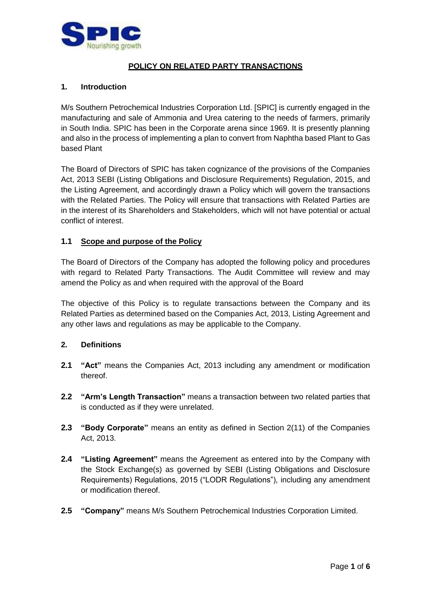

# **POLICY ON RELATED PARTY TRANSACTIONS**

#### **1. Introduction**

M/s Southern Petrochemical Industries Corporation Ltd. [SPIC] is currently engaged in the manufacturing and sale of Ammonia and Urea catering to the needs of farmers, primarily in South India. SPIC has been in the Corporate arena since 1969. It is presently planning and also in the process of implementing a plan to convert from Naphtha based Plant to Gas based Plant

The Board of Directors of SPIC has taken cognizance of the provisions of the Companies Act, 2013 SEBI (Listing Obligations and Disclosure Requirements) Regulation, 2015, and the Listing Agreement, and accordingly drawn a Policy which will govern the transactions with the Related Parties. The Policy will ensure that transactions with Related Parties are in the interest of its Shareholders and Stakeholders, which will not have potential or actual conflict of interest.

# **1.1 Scope and purpose of the Policy**

The Board of Directors of the Company has adopted the following policy and procedures with regard to Related Party Transactions. The Audit Committee will review and may amend the Policy as and when required with the approval of the Board

The objective of this Policy is to regulate transactions between the Company and its Related Parties as determined based on the Companies Act, 2013, Listing Agreement and any other laws and regulations as may be applicable to the Company.

#### **2. Definitions**

- **2.1 "Act"** means the Companies Act, 2013 including any amendment or modification thereof.
- **2.2 "Arm's Length Transaction"** means a transaction between two related parties that is conducted as if they were unrelated.
- **2.3 "Body Corporate"** means an entity as defined in Section 2(11) of the Companies Act, 2013.
- **2.4 "Listing Agreement"** means the Agreement as entered into by the Company with the Stock Exchange(s) as governed by SEBI (Listing Obligations and Disclosure Requirements) Regulations, 2015 ("LODR Regulations"), including any amendment or modification thereof.
- **2.5 "Company"** means M/s Southern Petrochemical Industries Corporation Limited.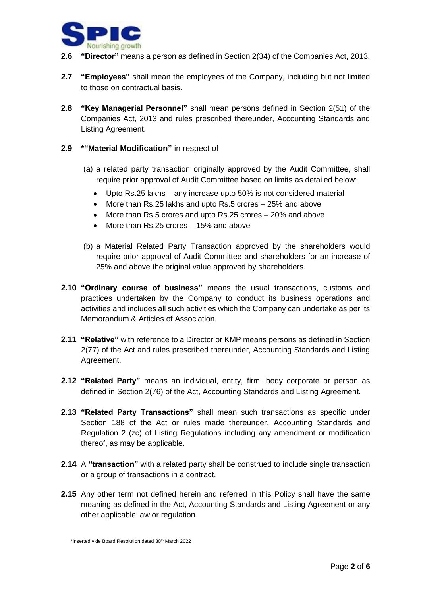

- **2.6 "Director"** means a person as defined in Section 2(34) of the Companies Act, 2013.
- **2.7 "Employees"** shall mean the employees of the Company, including but not limited to those on contractual basis.
- **2.8 "Key Managerial Personnel"** shall mean persons defined in Section 2(51) of the Companies Act, 2013 and rules prescribed thereunder, Accounting Standards and Listing Agreement.
- **2.9 \*"Material Modification"** in respect of
	- (a) a related party transaction originally approved by the Audit Committee, shall require prior approval of Audit Committee based on limits as detailed below:
		- Upto Rs.25 lakhs any increase upto 50% is not considered material
		- More than Rs.25 lakhs and upto Rs.5 crores 25% and above
		- More than Rs.5 crores and upto Rs.25 crores 20% and above
		- More than Rs.25 crores 15% and above
	- (b) a Material Related Party Transaction approved by the shareholders would require prior approval of Audit Committee and shareholders for an increase of 25% and above the original value approved by shareholders.
- **2.10 "Ordinary course of business"** means the usual transactions, customs and practices undertaken by the Company to conduct its business operations and activities and includes all such activities which the Company can undertake as per its Memorandum & Articles of Association.
- **2.11 "Relative"** with reference to a Director or KMP means persons as defined in Section 2(77) of the Act and rules prescribed thereunder, Accounting Standards and Listing Agreement.
- **2.12 "Related Party"** means an individual, entity, firm, body corporate or person as defined in Section 2(76) of the Act, Accounting Standards and Listing Agreement.
- **2.13 "Related Party Transactions"** shall mean such transactions as specific under Section 188 of the Act or rules made thereunder, Accounting Standards and Regulation 2 (zc) of Listing Regulations including any amendment or modification thereof, as may be applicable.
- **2.14** A **"transaction"** with a related party shall be construed to include single transaction or a group of transactions in a contract.
- **2.15** Any other term not defined herein and referred in this Policy shall have the same meaning as defined in the Act, Accounting Standards and Listing Agreement or any other applicable law or regulation.

<sup>\*</sup>inserted vide Board Resolution dated 30<sup>th</sup> March 2022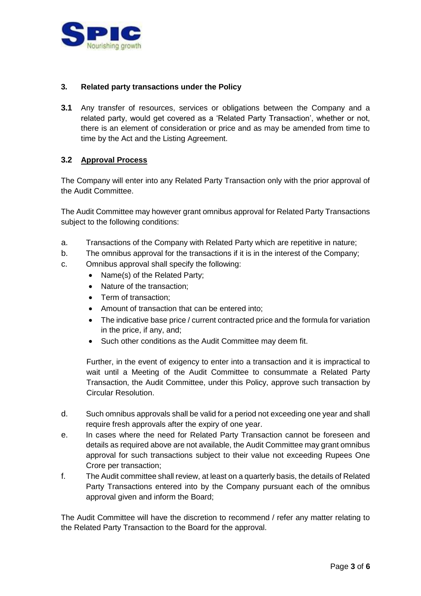

# **3. Related party transactions under the Policy**

**3.1** Any transfer of resources, services or obligations between the Company and a related party, would get covered as a 'Related Party Transaction', whether or not, there is an element of consideration or price and as may be amended from time to time by the Act and the Listing Agreement.

# **3.2 Approval Process**

The Company will enter into any Related Party Transaction only with the prior approval of the Audit Committee.

The Audit Committee may however grant omnibus approval for Related Party Transactions subject to the following conditions:

- a. Transactions of the Company with Related Party which are repetitive in nature;
- b. The omnibus approval for the transactions if it is in the interest of the Company;
- c. Omnibus approval shall specify the following:
	- Name(s) of the Related Party;
	- Nature of the transaction;
	- Term of transaction;
	- Amount of transaction that can be entered into;
	- The indicative base price / current contracted price and the formula for variation in the price, if any, and;
	- Such other conditions as the Audit Committee may deem fit.

Further, in the event of exigency to enter into a transaction and it is impractical to wait until a Meeting of the Audit Committee to consummate a Related Party Transaction, the Audit Committee, under this Policy, approve such transaction by Circular Resolution.

- d. Such omnibus approvals shall be valid for a period not exceeding one year and shall require fresh approvals after the expiry of one year.
- e. In cases where the need for Related Party Transaction cannot be foreseen and details as required above are not available, the Audit Committee may grant omnibus approval for such transactions subject to their value not exceeding Rupees One Crore per transaction;
- f. The Audit committee shall review, at least on a quarterly basis, the details of Related Party Transactions entered into by the Company pursuant each of the omnibus approval given and inform the Board;

The Audit Committee will have the discretion to recommend / refer any matter relating to the Related Party Transaction to the Board for the approval.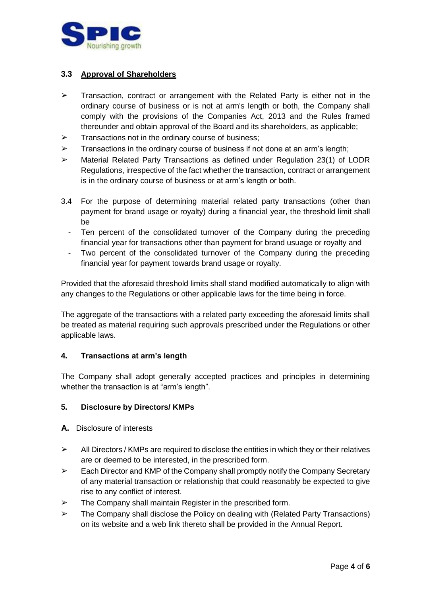

# **3.3 Approval of Shareholders**

- $\triangleright$  Transaction, contract or arrangement with the Related Party is either not in the ordinary course of business or is not at arm's length or both, the Company shall comply with the provisions of the Companies Act, 2013 and the Rules framed thereunder and obtain approval of the Board and its shareholders, as applicable;
- $\triangleright$  Transactions not in the ordinary course of business;
- $\triangleright$  Transactions in the ordinary course of business if not done at an arm's length;
- ➢ Material Related Party Transactions as defined under Regulation 23(1) of LODR Regulations, irrespective of the fact whether the transaction, contract or arrangement is in the ordinary course of business or at arm's length or both.
- 3.4 For the purpose of determining material related party transactions (other than payment for brand usage or royalty) during a financial year, the threshold limit shall be
	- Ten percent of the consolidated turnover of the Company during the preceding financial year for transactions other than payment for brand usuage or royalty and
	- Two percent of the consolidated turnover of the Company during the preceding financial year for payment towards brand usage or royalty.

Provided that the aforesaid threshold limits shall stand modified automatically to align with any changes to the Regulations or other applicable laws for the time being in force.

The aggregate of the transactions with a related party exceeding the aforesaid limits shall be treated as material requiring such approvals prescribed under the Regulations or other applicable laws.

#### **4. Transactions at arm's length**

The Company shall adopt generally accepted practices and principles in determining whether the transaction is at "arm's length".

#### **5. Disclosure by Directors/ KMPs**

#### **A.** Disclosure of interests

- $\triangleright$  All Directors / KMPs are required to disclose the entities in which they or their relatives are or deemed to be interested, in the prescribed form.
- $\triangleright$  Each Director and KMP of the Company shall promptly notify the Company Secretary of any material transaction or relationship that could reasonably be expected to give rise to any conflict of interest.
- $\triangleright$  The Company shall maintain Register in the prescribed form.
- $\triangleright$  The Company shall disclose the Policy on dealing with (Related Party Transactions) on its website and a web link thereto shall be provided in the Annual Report.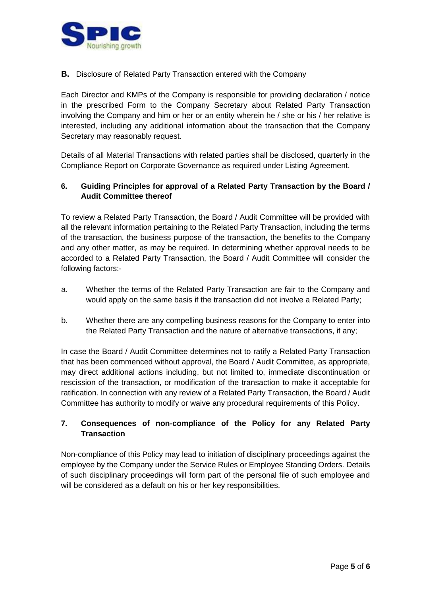

#### **B.** Disclosure of Related Party Transaction entered with the Company

Each Director and KMPs of the Company is responsible for providing declaration / notice in the prescribed Form to the Company Secretary about Related Party Transaction involving the Company and him or her or an entity wherein he / she or his / her relative is interested, including any additional information about the transaction that the Company Secretary may reasonably request.

Details of all Material Transactions with related parties shall be disclosed, quarterly in the Compliance Report on Corporate Governance as required under Listing Agreement.

# **6. Guiding Principles for approval of a Related Party Transaction by the Board / Audit Committee thereof**

To review a Related Party Transaction, the Board / Audit Committee will be provided with all the relevant information pertaining to the Related Party Transaction, including the terms of the transaction, the business purpose of the transaction, the benefits to the Company and any other matter, as may be required. In determining whether approval needs to be accorded to a Related Party Transaction, the Board / Audit Committee will consider the following factors:-

- a. Whether the terms of the Related Party Transaction are fair to the Company and would apply on the same basis if the transaction did not involve a Related Party;
- b. Whether there are any compelling business reasons for the Company to enter into the Related Party Transaction and the nature of alternative transactions, if any;

In case the Board / Audit Committee determines not to ratify a Related Party Transaction that has been commenced without approval, the Board / Audit Committee, as appropriate, may direct additional actions including, but not limited to, immediate discontinuation or rescission of the transaction, or modification of the transaction to make it acceptable for ratification. In connection with any review of a Related Party Transaction, the Board / Audit Committee has authority to modify or waive any procedural requirements of this Policy.

# **7. Consequences of non-compliance of the Policy for any Related Party Transaction**

Non-compliance of this Policy may lead to initiation of disciplinary proceedings against the employee by the Company under the Service Rules or Employee Standing Orders. Details of such disciplinary proceedings will form part of the personal file of such employee and will be considered as a default on his or her key responsibilities.